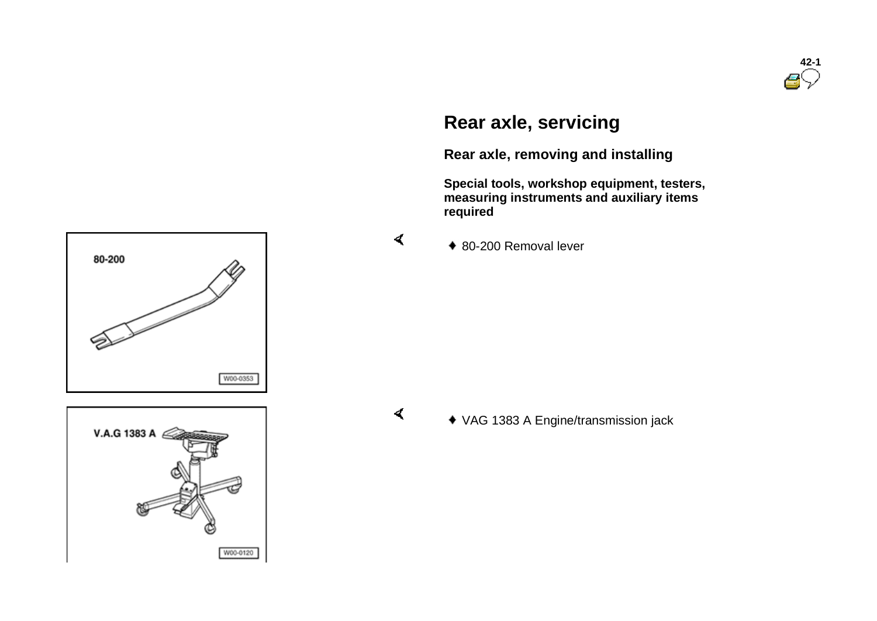

# **Rear axle, servicing**

**Rear axle, removing and installing** 

VAG 1383 A Engine/transmission jack

 **Special tools, workshop equipment, testers, measuring instruments and auxiliary items required** 

◆ 80-200 Removal lever

 $\blacktriangleleft$ 

 $\prec$ 



80-200

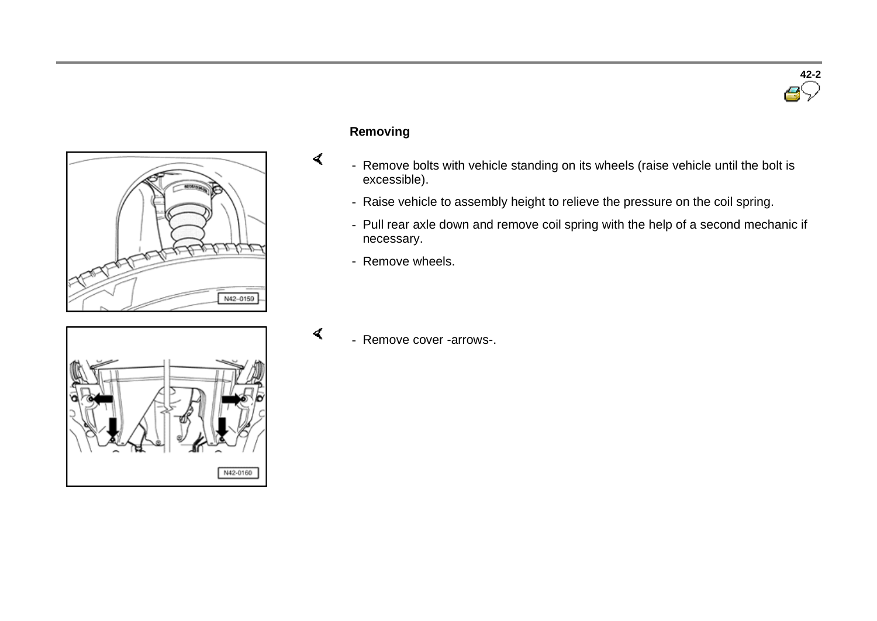



## **Removing**

 $\prec$ 

 $\blacktriangleleft$ 

- Remove bolts with vehicle standing on its wheels (raise vehicle until the bolt is excessible).
- Raise vehicle to assembly height to relieve the pressure on the coil spring.
- Pull rear axle down and remove coil spring with the help of a second mechanic if necessary.
- Remove wheels.



- Remove cover -arrows-.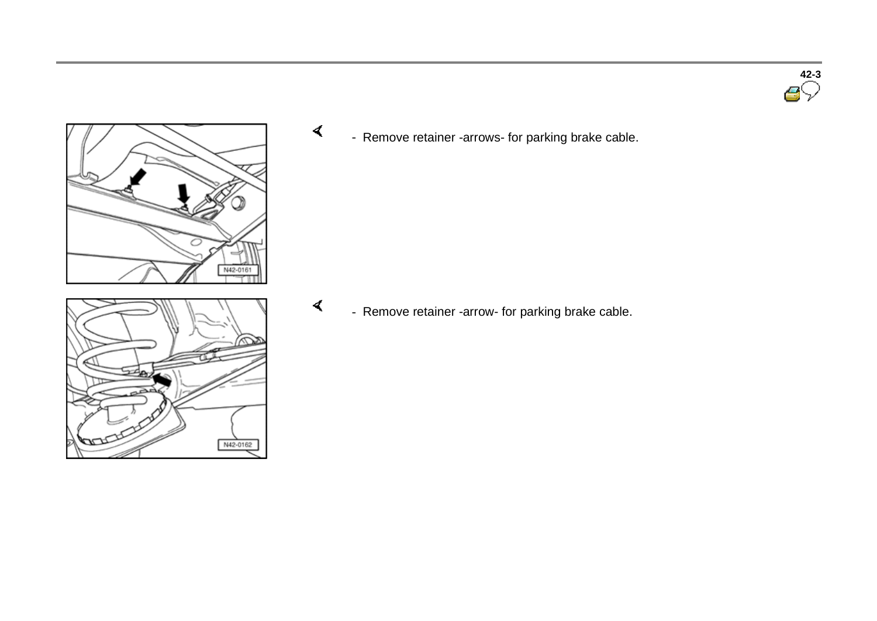



N42-0162

 $\prec$ - Remove retainer -arrows- for parking brake cable.

 $\blacktriangleleft$ - Remove retainer -arrow- for parking brake cable.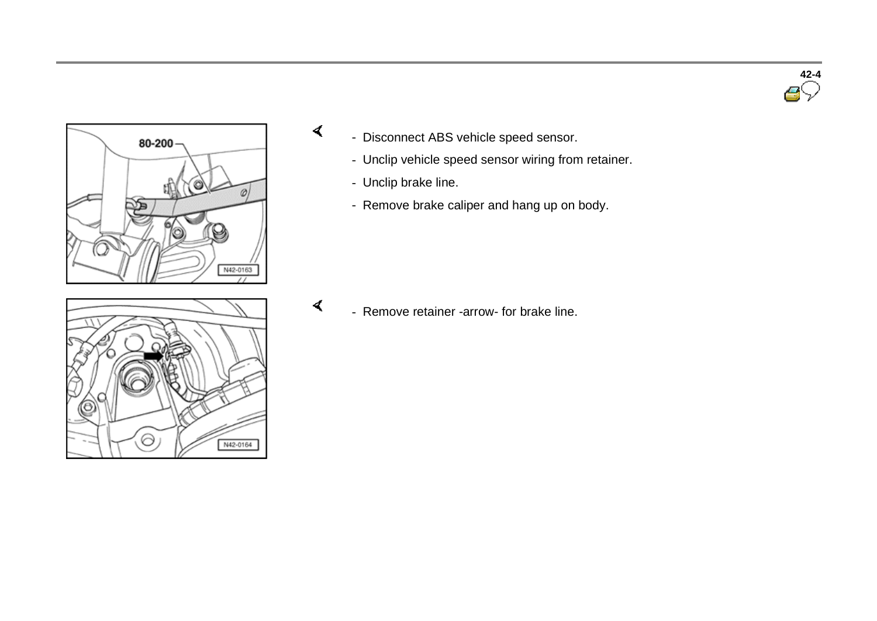



- Disconnect ABS vehicle speed sensor.
	- Unclip vehicle speed sensor wiring from retainer.
	- Unclip brake line.

 $\prec$ 

- Remove brake caliper and hang up on body.



 $\blacktriangleleft$ - Remove retainer -arrow- for brake line.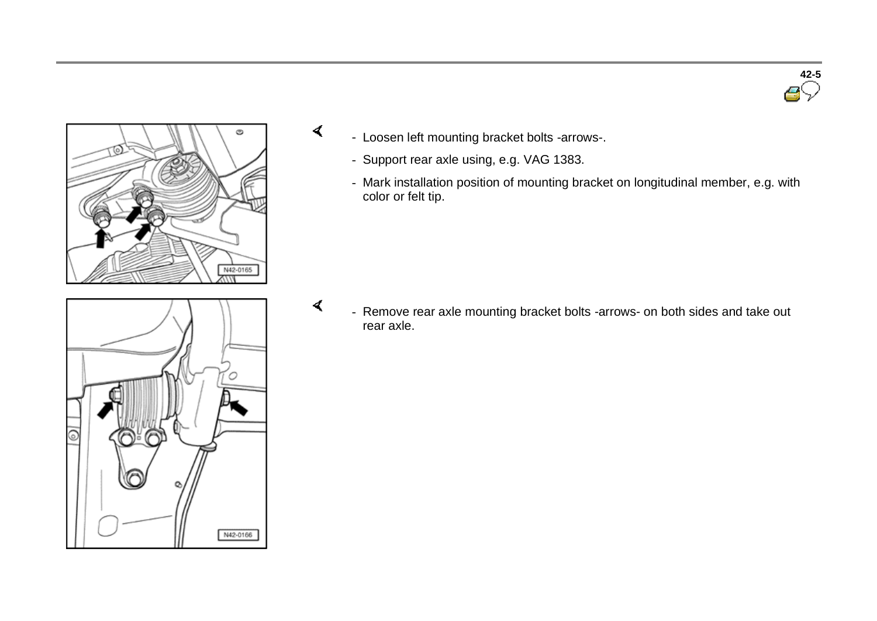



 $\prec$ 

 $\blacktriangleleft$ 



- Loosen left mounting bracket bolts -arrows-.
	- Support rear axle using, e.g. VAG 1383.
	- Mark installation position of mounting bracket on longitudinal member, e.g. with color or felt tip.

 - Remove rear axle mounting bracket bolts -arrows- on both sides and take out rear axle.

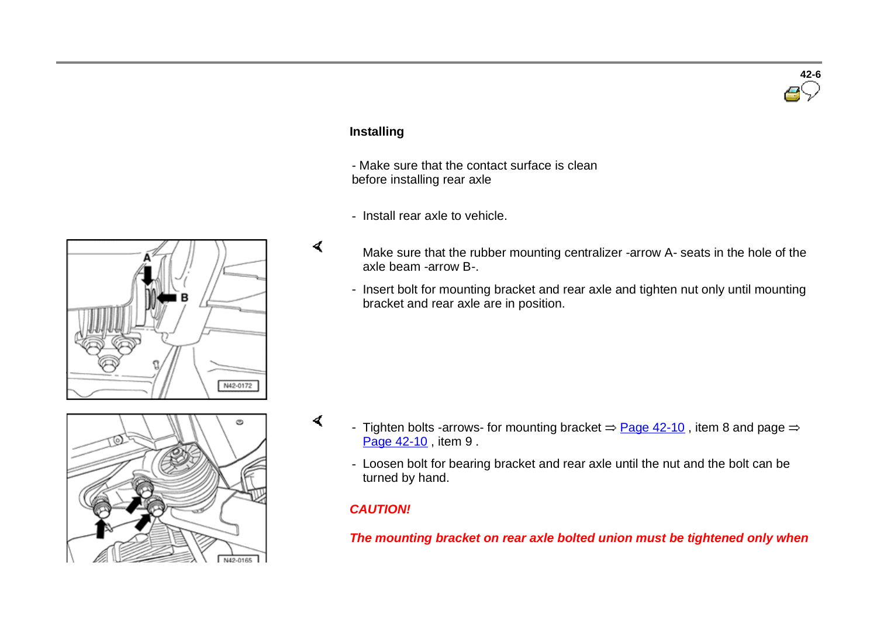### **Installing**

 $\blacktriangleleft$ 

 $\sigma$ 

- Make sure that the contact surface is clean before installing rear axle

- Install rear axle to vehicle.
- Make sure that the rubber mounting centralizer -arrow A- seats in the hole of the axle beam -arrow B-.
- Insert bolt for mounting bracket and rear axle and tighten nut only until mounting bracket and rear axle are in position.



- Tighten bolts -arrows- for mounting bracket  $\Rightarrow$  Page 42-10, item 8 and page  $\Rightarrow$ Page 42-10, item 9.
- Loosen bolt for bearing bracket and rear axle until the nut and the bolt can be turned by hand.

#### *CAUTION!*

*The mounting bracket on rear axle bolted union must be tightened only when* 



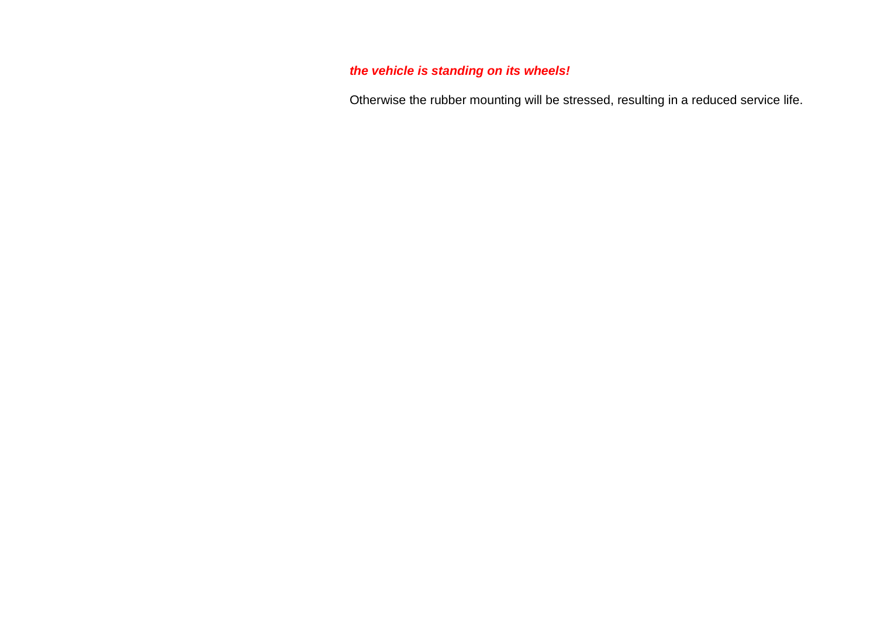# *the vehicle is standing on its wheels!*

Otherwise the rubber mounting will be stressed, resulting in a reduced service life.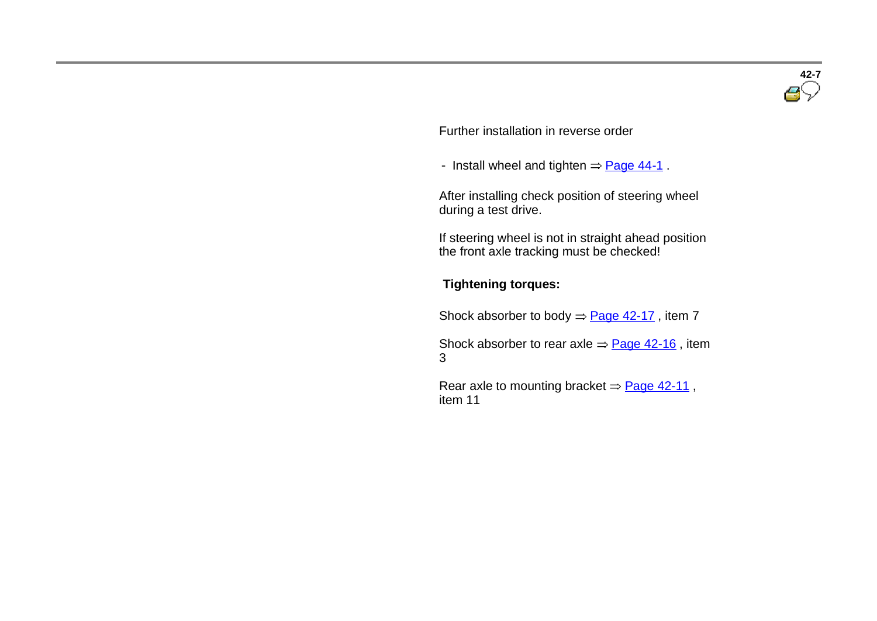

Further installation in reverse order

- Install wheel and tighten  $=$  Page 44-1.

 After installing check position of steering wheel during a test drive.

If steering wheel is not in straight ahead position the front axle tracking must be checked!

#### **Tightening torques:**

Shock absorber to body  $\Rightarrow$  Page 42-17, item 7

Shock absorber to rear axle  $\Rightarrow$  Page 42-16, item 3

Rear axle to mounting bracket  $=$  Page 42-11, item 11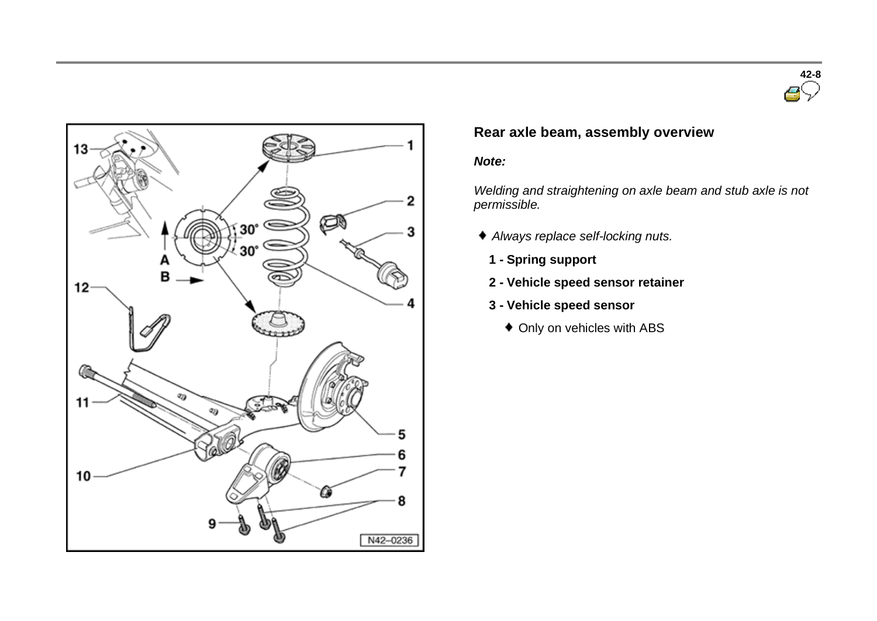



# **Rear axle beam, assembly overview**

#### *Note:*

*Welding and straightening on axle beam and stub axle is not permissible.*

- *Always replace self-locking nuts.*
- **1 - Spring support**
- **2 - Vehicle speed sensor retainer**
- **3 - Vehicle speed sensor**
	- Only on vehicles with ABS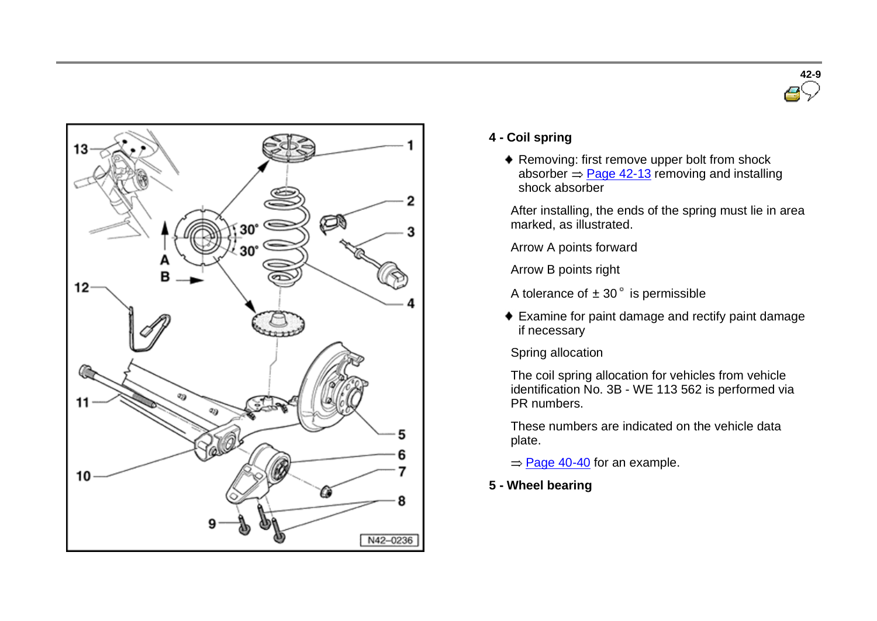



#### **4 - Coil spring**

- ◆ Removing: first remove upper bolt from shock absorber  $\Rightarrow$  Page 42-13 removing and installing shock absorber
- After installing, the ends of the spring must lie in area marked, as illustrated.
- Arrow A points forward
- Arrow B points right
- A tolerance of  $\pm$  30 $^{\circ}$  is permissible
- Examine for paint damage and rectify paint damage if necessary
- Spring allocation

The coil spring allocation for vehicles from vehicle identification No. 3B - WE 113 562 is performed via PR numbers.

These numbers are indicated on the vehicle data plate.

- $=$  Page 40-40 for an example.
- **5 - Wheel bearing**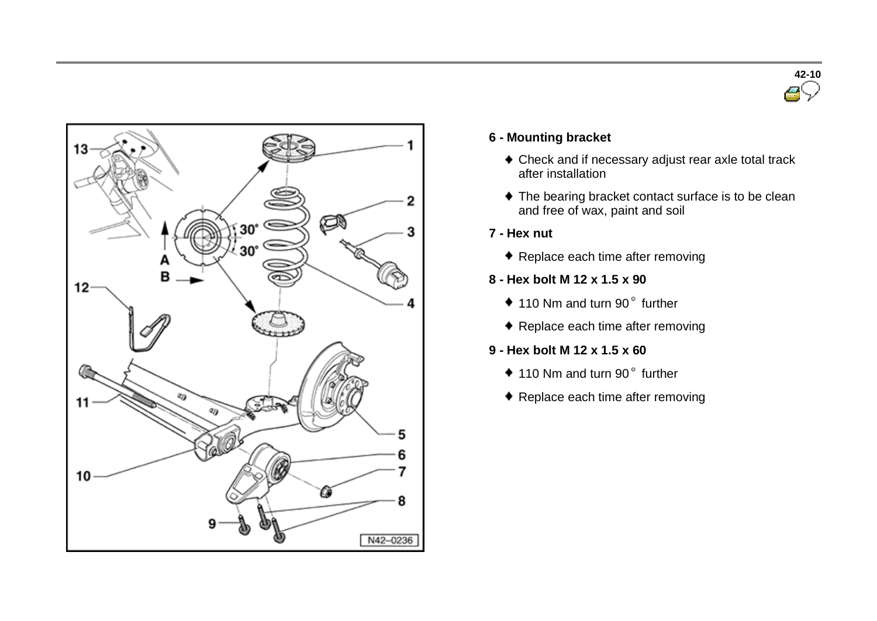



#### **6 - Mounting bracket**

- Check and if necessary adjust rear axle total track after installation
- $\blacklozenge$  The bearing bracket contact surface is to be clean and free of wax, paint and soil
- **7 - Hex nut**
	- ◆ Replace each time after removing
- **8 - Hex bolt M 12 x 1.5 x 90**
	- $*$  110 Nm and turn 90 $"$  further
	- ◆ Replace each time after removing
- **9 - Hex bolt M 12 x 1.5 x 60**
	- $*$  110 Nm and turn 90 $"$  further
	- ◆ Replace each time after removing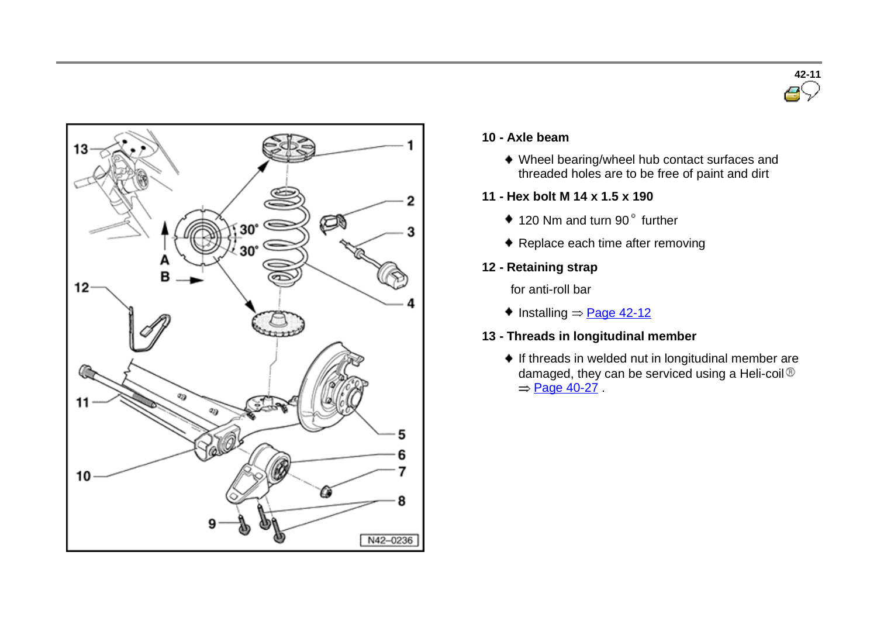



#### **10 - Axle beam**

- Wheel bearing/wheel hub contact surfaces and threaded holes are to be free of paint and dirt
- **11 - Hex bolt M 14 x 1.5 x 190**
	- $*$  120 Nm and turn 90 $"$  further
	- ◆ Replace each time after removing
- **12 - Retaining strap**

for anti-roll bar

- $\bullet$  Installing  $=$  Page 42-12
- **13 - Threads in longitudinal member**
	- If threads in welded nut in longitudinal member are damaged, they can be serviced using a Heli-coil ®  $=$  Page 40-27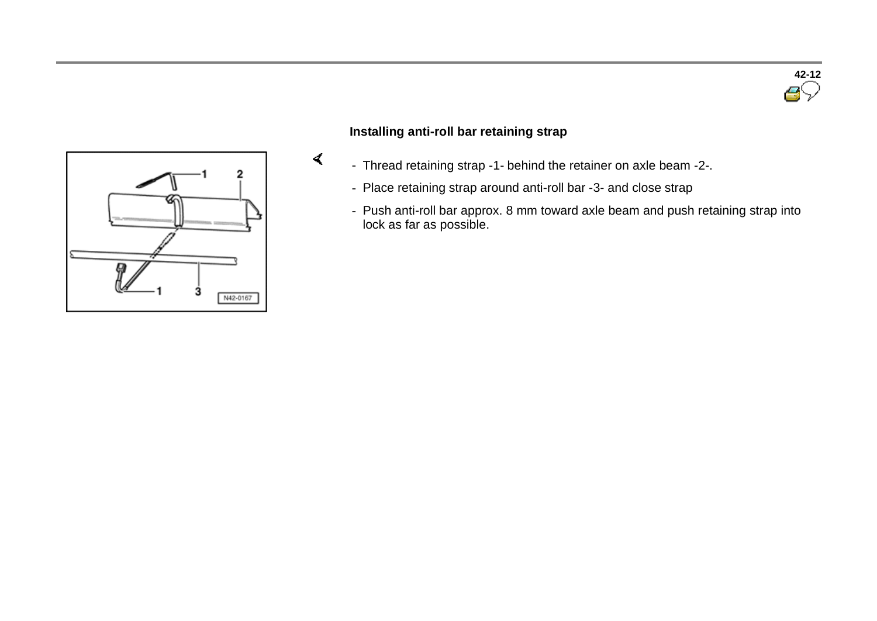



#### **Installing anti-roll bar retaining strap**

 $\blacktriangleleft$ 

- Thread retaining strap -1- behind the retainer on axle beam -2-.
- Place retaining strap around anti-roll bar -3- and close strap
- Push anti-roll bar approx. 8 mm toward axle beam and push retaining strap into lock as far as possible.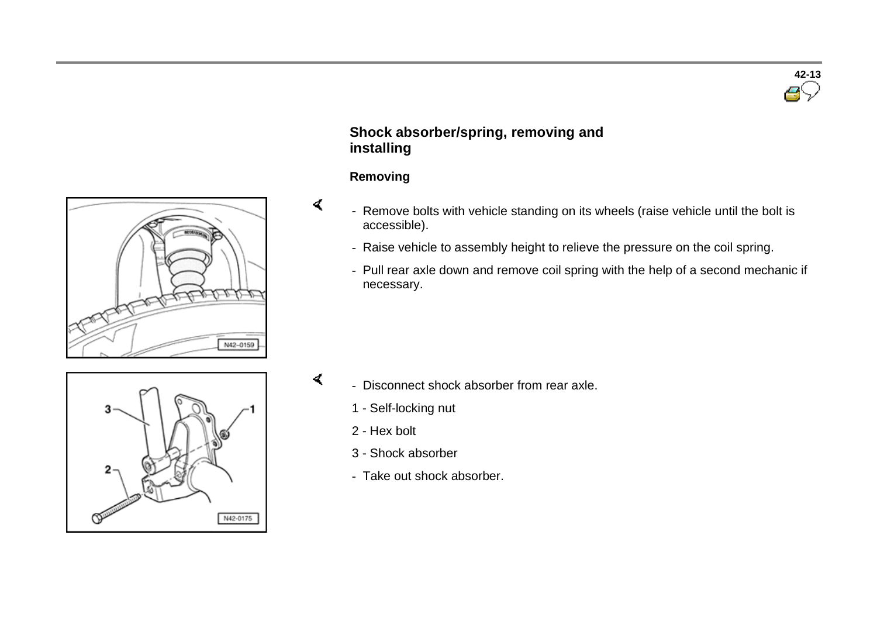



## **Shock absorber/spring, removing and installing**

#### **Removing**

 $\blacktriangleleft$ 

 $\mathbf{d}$ 

- Remove bolts with vehicle standing on its wheels (raise vehicle until the bolt is accessible).
	- Raise vehicle to assembly height to relieve the pressure on the coil spring.
	- Pull rear axle down and remove coil spring with the help of a second mechanic if necessary.



- Disconnect shock absorber from rear axle.
	- 1 Self-locking nut
	- 2 Hex bolt
	- 3 Shock absorber
	- Take out shock absorber.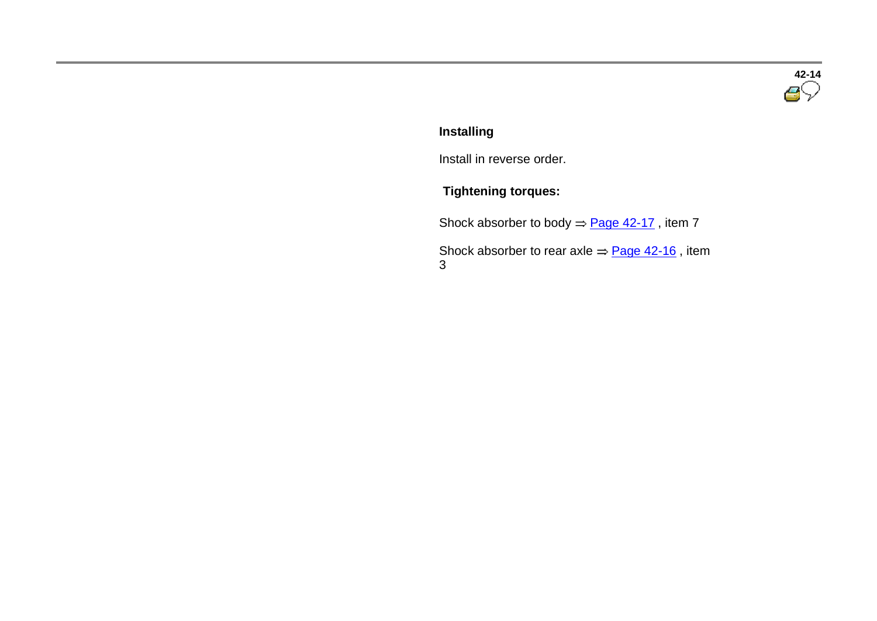

# **Installing**

Install in reverse order.

# **Tightening torques:**

Shock absorber to body  $\Rightarrow$  Page 42-17, item 7

 $S$ hock absorber to rear axle  $\Rightarrow$   $\frac{Page\ 42-16}$  , item 3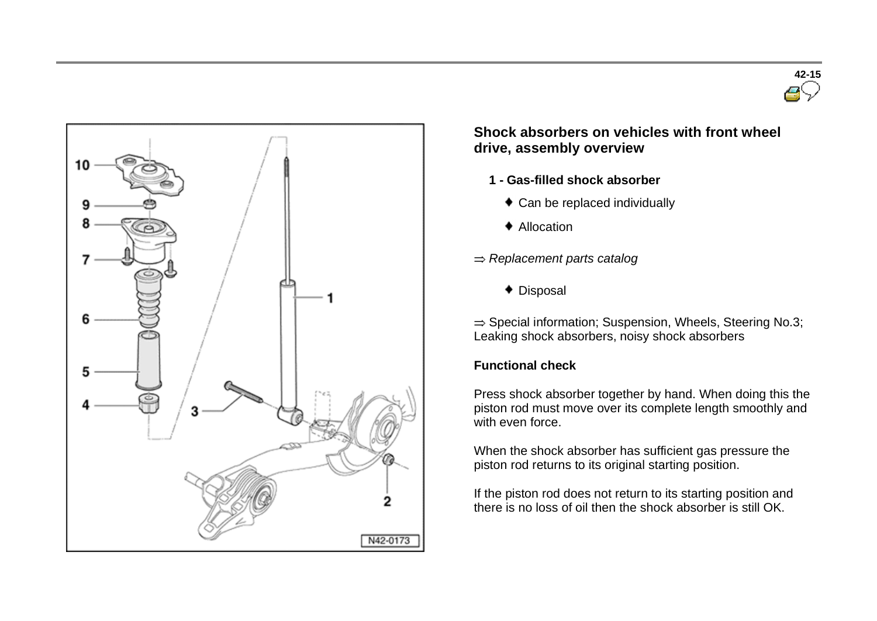



## **Shock absorbers on vehicles with front wheel drive, assembly overview**

- **1 - Gas-filled shock absorber**
	- ◆ Can be replaced individually
	- ♦ Allocation
- *Replacement parts catalog*
	- Disposal

 $\Rightarrow$  Special information; Suspension, Wheels, Steering No.3; Leaking shock absorbers, noisy shock absorbers

## **Functional check**

Press shock absorber together by hand. When doing this the piston rod must move over its complete length smoothly and with even force.

When the shock absorber has sufficient gas pressure the piston rod returns to its original starting position.

If the piston rod does not return to its starting position and there is no loss of oil then the shock absorber is still OK.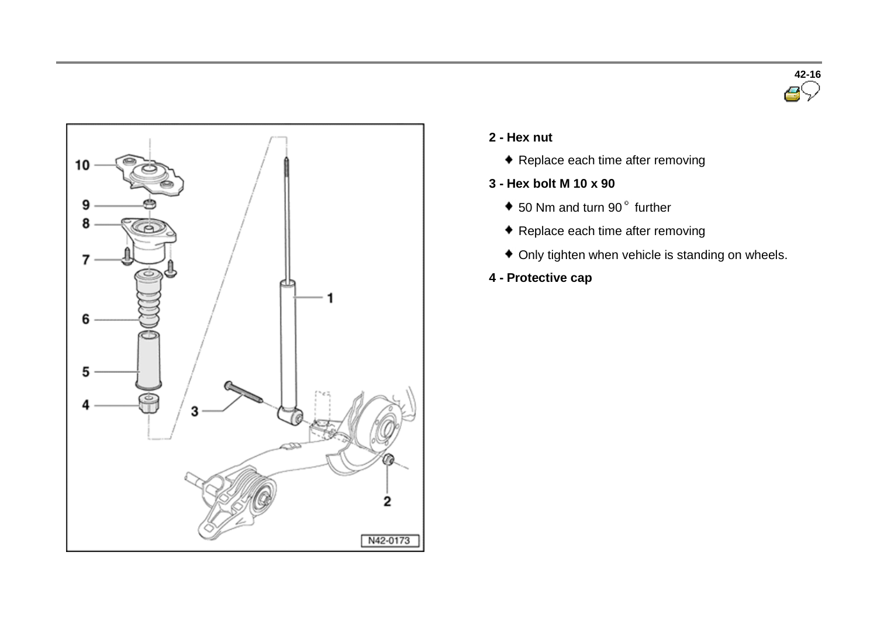



- **2 - Hex nut**
	- Replace each time after removing
- **3 - Hex bolt M 10 x 90**
	- $\bullet$  50 Nm and turn 90 $^{\circ}$  further
	- Replace each time after removing
	- Only tighten when vehicle is standing on wheels.
- **4 - Protective cap**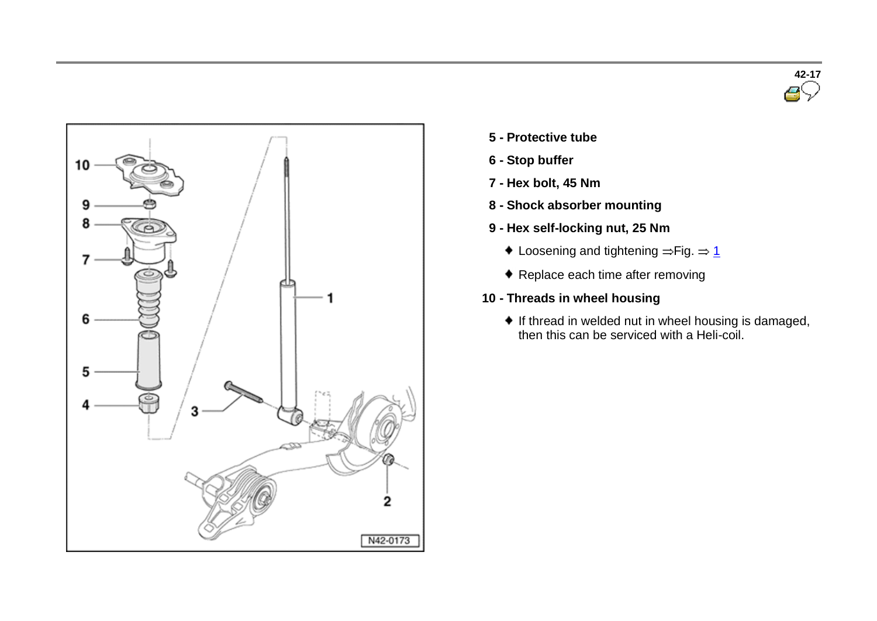



- **5 - Protective tube**
- **6 - Stop buffer**
- **7 - Hex bolt, 45 Nm**
- **8 - Shock absorber mounting**
- **9 - Hex self-locking nut, 25 Nm**
	- $\bullet$  Loosening and tightening  $=$  Fig.  $=$  1
	- ◆ Replace each time after removing
- **10 - Threads in wheel housing**
	- $\bullet$  If thread in welded nut in wheel housing is damaged, then this can be serviced with a Heli-coil.